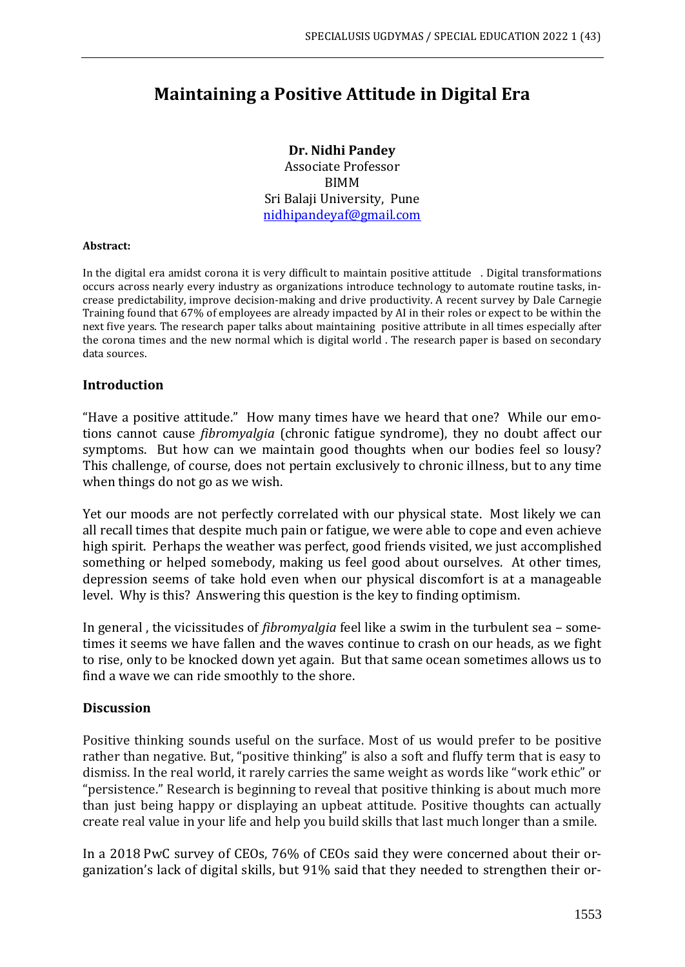# **Maintaining a Positive Attitude in Digital Era**

#### **Dr. Nidhi Pandey**

Associate Professor BIMM Sri Balaji University, Pune [nidhipandeyaf@gmail.com](mailto:nidhipandeyaf@gmail.com)

#### **Abstract:**

In the digital era amidst corona it is very difficult to maintain positive attitude . Digital transformations occurs across nearly every industry as organizations introduce technology to automate routine tasks, increase predictability, improve decision-making and drive productivity. A recent survey by Dale Carnegie Training found that 67% of employees are already impacted by AI in their roles or expect to be within the next five years. The research paper talks about maintaining positive attribute in all times especially after the corona times and the new normal which is digital world . The research paper is based on secondary data sources.

### **Introduction**

"Have a positive attitude." How many times have we heard that one? While our emotions cannot cause *fibromyalgia* (chronic fatigue syndrome), they no doubt affect our symptoms. But how can we maintain good thoughts when our bodies feel so lousy? This challenge, of course, does not pertain exclusively to chronic illness, but to any time when things do not go as we wish.

Yet our moods are not perfectly correlated with our physical state. Most likely we can all recall times that despite much pain or fatigue, we were able to cope and even achieve high spirit. Perhaps the weather was perfect, good friends visited, we just accomplished something or helped somebody, making us feel good about ourselves. At other times, depression seems of take hold even when our physical discomfort is at a manageable level. Why is this? Answering this question is the key to finding optimism.

In general , the vicissitudes of *fibromyalgia* feel like a swim in the turbulent sea – sometimes it seems we have fallen and the waves continue to crash on our heads, as we fight to rise, only to be knocked down yet again. But that same ocean sometimes allows us to find a wave we can ride smoothly to the shore.

#### **Discussion**

Positive thinking sounds useful on the surface. Most of us would prefer to be positive rather than negative. But, "positive thinking" is also a soft and fluffy term that is easy to dismiss. In the real world, it rarely carries the same weight as words like "work ethic" or "persistence." Research is beginning to reveal that positive thinking is about much more than just being happy or displaying an upbeat attitude. Positive thoughts can actually create real value in your life and help you build skills that last much longer than a smile.

In a 2018 [PwC survey of CEOs,](https://www.pwc.com/gx/en/ceo-survey/2018/deep-dives/pwc-ceo-survey-talent.pdf) 76% of CEOs said they were concerned about their organization's lack of digital skills, but 91% said that they needed to strengthen their or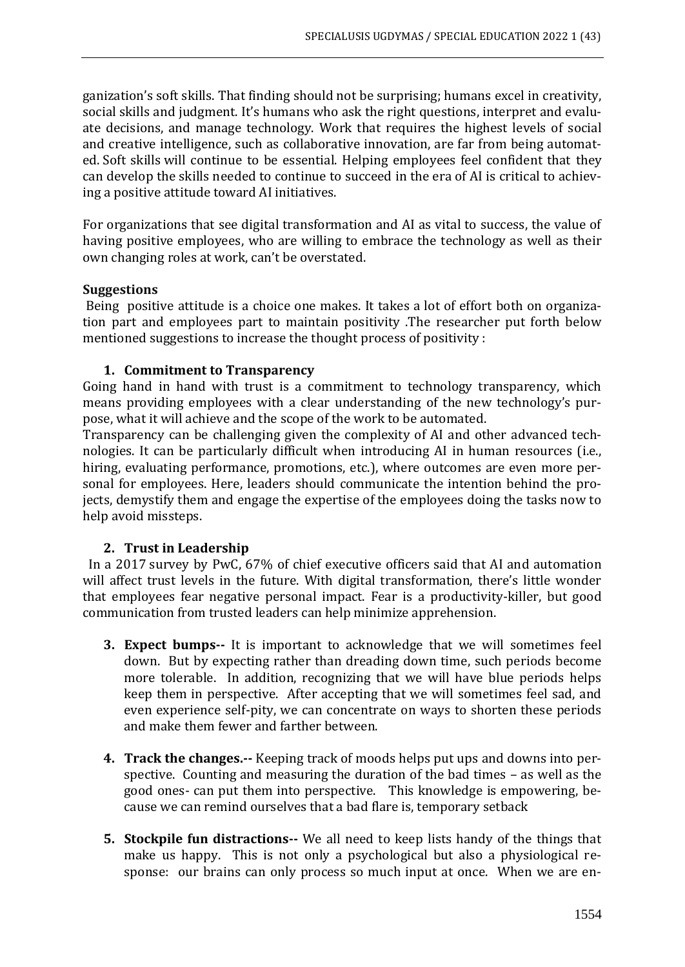ganization's soft skills. That finding should not be surprising; humans excel in [creativity,](https://trainingindustry.com/articles/strategy-alignment-and-planning/unleashing-your-workforces-creative-potential/) social skills and judgment. It's humans who ask the right questions, interpret and evaluate decisions, and manage technology. Work that requires the highest levels of social and creative intelligence, such as collaborative innovation, are far from being automated. [Soft skills](https://trainingindustry.com/glossary/soft-skills/) will continue to be essential. Helping employees feel confident that they can develop the skills needed to continue to succeed in the era of AI is critical to achieving a positive attitude toward AI initiatives.

For organizations that see digital transformation and AI as vital to success, the value of having positive employees, who are willing to embrace the technology as well as their own changing roles at work, can't be overstated.

## **Suggestions**

Being positive attitude is a choice one makes. It takes a lot of effort both on organization part and employees part to maintain positivity .The researcher put forth below mentioned suggestions to increase the thought process of positivity :

## **1. Commitment to Transparency**

Going hand in hand with trust is a commitment to technology transparency, which means providing employees with a clear understanding of the new technology's purpose, what it will achieve and the scope of the work to be automated.

Transparency can be challenging given the complexity of AI and other advanced technologies. It can be particularly difficult when introducing AI in human resources (i.e., hiring, evaluating performance, promotions, etc.), where outcomes are even more personal for employees. Here, leaders should communicate the intention behind the projects, demystify them and engage the expertise of the employees doing the tasks now to help avoid missteps.

# **2. Trust in Leadership**

 In a 2017 [survey by PwC,](https://www.pwc.com/gx/en/ceo-survey/2017/pwc-ceo-20th-survey-report-2017.pdf) 67% of chief executive officers said that AI and automation will affect trust levels in the future. With digital transformation, there's little wonder that employees fear negative personal impact. Fear is a productivity-killer, but good communication from trusted leaders can help minimize apprehension.

- **3. Expect bumps--** It is important to acknowledge that we will sometimes feel down. But by expecting rather than dreading down time, such periods become more tolerable. In addition, recognizing that we will have blue periods helps keep them in perspective. After accepting that we will sometimes feel sad, and even experience self-pity, we can concentrate on ways to shorten these periods and make them fewer and farther between.
- **4. Track the changes.--** Keeping track of moods helps put ups and downs into perspective. Counting and measuring the duration of the bad times – as well as the good ones- can put them into perspective. This knowledge is empowering, because we can remind ourselves that a bad flare is, temporary setback
- **5. Stockpile fun distractions--** We all need to keep lists handy of the things that make us happy. This is not only a psychological but also a physiological response: our brains can only process so much input at once. When we are en-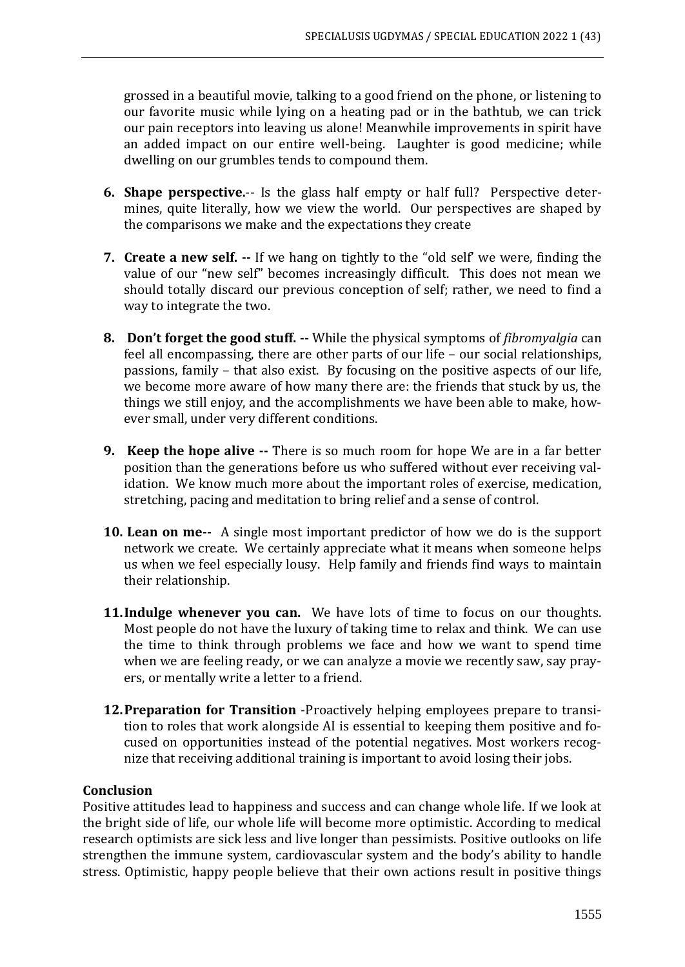grossed in a beautiful movie, talking to a good friend on the phone, or listening to our favorite music while lying on a heating pad or in the bathtub, we can trick our pain receptors into leaving us alone! Meanwhile improvements in spirit have an added impact on our entire well-being. Laughter is good medicine; while dwelling on our grumbles tends to compound them.

- **6. Shape perspective.**-- Is the glass half empty or half full? Perspective determines, quite literally, how we view the world. Our perspectives are shaped by the comparisons we make and the expectations they create
- **7. Create a new self. --** If we hang on tightly to the "old self' we were, finding the value of our "new self" becomes increasingly difficult. This does not mean we should totally discard our previous conception of self; rather, we need to find a way to integrate the two.
- **8. Don't forget the good stuff. --** While the physical symptoms of *fibromyalgia* can feel all encompassing, there are other parts of our life – our social relationships, passions, family – that also exist. By focusing on the positive aspects of our life, we become more aware of how many there are: the friends that stuck by us, the things we still enjoy, and the accomplishments we have been able to make, however small, under very different conditions.
- **9. Keep the hope alive --** There is so much room for hope We are in a far better position than the generations before us who suffered without ever receiving validation. We know much more about the important roles of exercise, medication, stretching, pacing and meditation to bring relief and a sense of control.
- **10. Lean on me--** A single most important predictor of how we do is the support network we create. We certainly appreciate what it means when someone helps us when we feel especially lousy. Help family and friends find ways to maintain their relationship.
- **11.Indulge whenever you can.** We have lots of time to focus on our thoughts. Most people do not have the luxury of taking time to relax and think. We can use the time to think through problems we face and how we want to spend time when we are feeling ready, or we can analyze a movie we recently saw, say prayers, or mentally write a letter to a friend.
- **12.Preparation for Transition** -Proactively helping employees prepare to transition to roles that work alongside AI is essential to keeping them positive and focused on opportunities instead of the potential negatives. Most workers recognize that receiving additional training is important to avoid losing their jobs.

## **Conclusion**

Positive attitudes lead to happiness and success and can change whole life. If we look at the bright side of life, our whole life will become more optimistic. According to medical research optimists are sick less and live longer than pessimists. Positive outlooks on life strengthen the immune system, cardiovascular system and the body's ability to handle stress. Optimistic, happy people believe that their own actions result in positive things